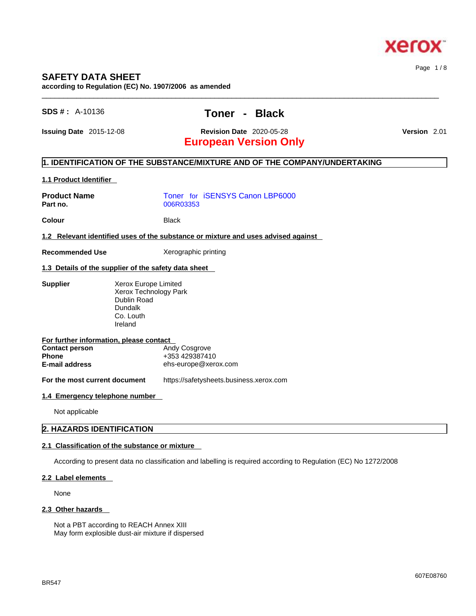

### **SAFETY DATA SHEET**

**according to Regulation (EC) No. 1907/2006 as amended** 

## **SDS # :** A-10136 **Toner - Black**

 $\_$  ,  $\_$  ,  $\_$  ,  $\_$  ,  $\_$  ,  $\_$  ,  $\_$  ,  $\_$  ,  $\_$  ,  $\_$  ,  $\_$  ,  $\_$  ,  $\_$  ,  $\_$  ,  $\_$  ,  $\_$  ,  $\_$  ,  $\_$  ,  $\_$  ,  $\_$  ,  $\_$  ,  $\_$  ,  $\_$  ,  $\_$  ,  $\_$  ,  $\_$  ,  $\_$  ,  $\_$  ,  $\_$  ,  $\_$  ,  $\_$  ,  $\_$  ,  $\_$  ,  $\_$  ,  $\_$  ,  $\_$  ,  $\_$  ,

**Issuing Date** 2015-12-08 **Revision Date** 2020-05-28 **Version** 2.01

# **European Version Only**

#### **1. IDENTIFICATION OF THE SUBSTANCE/MIXTURE AND OF THE COMPANY/UNDERTAKING**

#### **1.1 Product Identifier**

| <b>Product Name</b><br>Part no.                                                                           |                                                                                                        | 006R03353                                               |                                         | Toner for iSENSYS Canon LBP6000 |  |
|-----------------------------------------------------------------------------------------------------------|--------------------------------------------------------------------------------------------------------|---------------------------------------------------------|-----------------------------------------|---------------------------------|--|
| Colour                                                                                                    |                                                                                                        | <b>Black</b>                                            |                                         |                                 |  |
| 1.2 Relevant identified uses of the substance or mixture and uses advised against                         |                                                                                                        |                                                         |                                         |                                 |  |
| <b>Recommended Use</b>                                                                                    |                                                                                                        | Xerographic printing                                    |                                         |                                 |  |
| 1.3 Details of the supplier of the safety data sheet                                                      |                                                                                                        |                                                         |                                         |                                 |  |
| <b>Supplier</b>                                                                                           | Xerox Europe Limited<br>Xerox Technology Park<br>Dublin Road<br><b>Dundalk</b><br>Co. Louth<br>Ireland |                                                         |                                         |                                 |  |
| For further information, please contact<br><b>Contact person</b><br><b>Phone</b><br><b>E-mail address</b> |                                                                                                        | Andy Cosgrove<br>+353 429387410<br>ehs-europe@xerox.com |                                         |                                 |  |
| For the most current document                                                                             |                                                                                                        |                                                         | https://safetysheets.business.xerox.com |                                 |  |
| 1.4 Emergency telephone number                                                                            |                                                                                                        |                                                         |                                         |                                 |  |
| Not applicable                                                                                            |                                                                                                        |                                                         |                                         |                                 |  |

#### **2. HAZARDS IDENTIFICATION**

#### **2.1 Classification of the substance or mixture**

According to present data no classification and labelling is required according to Regulation (EC) No 1272/2008

#### **2.2 Label elements**

None

#### **2.3 Other hazards**

Not a PBT according to REACH Annex XIII May form explosible dust-air mixture if dispersed Page 1 / 8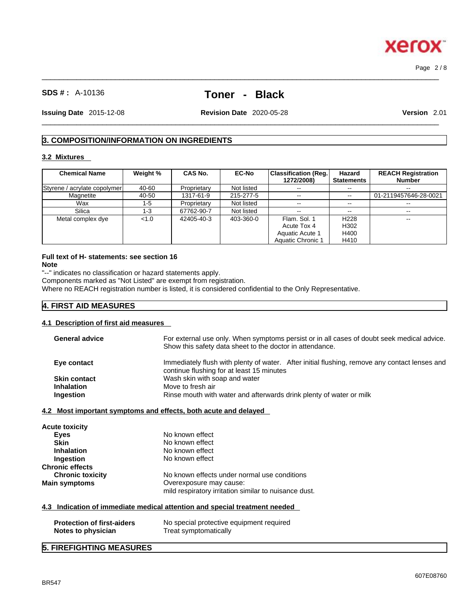# **SDS # :** A-10136 **Toner - Black**

 $\_$  ,  $\_$  ,  $\_$  ,  $\_$  ,  $\_$  ,  $\_$  ,  $\_$  ,  $\_$  ,  $\_$  ,  $\_$  ,  $\_$  ,  $\_$  ,  $\_$  ,  $\_$  ,  $\_$  ,  $\_$  ,  $\_$  ,  $\_$  ,  $\_$  ,  $\_$  ,  $\_$  ,  $\_$  ,  $\_$  ,  $\_$  ,  $\_$  ,  $\_$  ,  $\_$  ,  $\_$  ,  $\_$  ,  $\_$  ,  $\_$  ,  $\_$  ,  $\_$  ,  $\_$  ,  $\_$  ,  $\_$  ,  $\_$  ,

 $\_$  ,  $\_$  ,  $\_$  ,  $\_$  ,  $\_$  ,  $\_$  ,  $\_$  ,  $\_$  ,  $\_$  ,  $\_$  ,  $\_$  ,  $\_$  ,  $\_$  ,  $\_$  ,  $\_$  ,  $\_$  ,  $\_$  ,  $\_$  ,  $\_$  ,  $\_$  ,  $\_$  ,  $\_$  ,  $\_$  ,  $\_$  ,  $\_$  ,  $\_$  ,  $\_$  ,  $\_$  ,  $\_$  ,  $\_$  ,  $\_$  ,  $\_$  ,  $\_$  ,  $\_$  ,  $\_$  ,  $\_$  ,  $\_$  , **Issuing Date** 2015-12-08 **Revision Date** 2020-05-28 **Version** 2.01

Page 2 / 8

#### **3. COMPOSITION/INFORMATION ON INGREDIENTS**

#### **3.2 Mixtures**

| <b>Chemical Name</b>         | Weight % | <b>CAS No.</b> | <b>EC-No</b> | Classification (Reg.)<br>1272/2008) | Hazard<br><b>Statements</b> | <b>REACH Registration</b><br><b>Number</b> |
|------------------------------|----------|----------------|--------------|-------------------------------------|-----------------------------|--------------------------------------------|
| Styrene / acrylate copolymer | 40-60    | Proprietary    | Not listed   | $- -$                               |                             | $\sim$ $\sim$                              |
| Magnetite                    | 40-50    | 1317-61-9      | 215-277-5    | $\sim$ $\sim$                       | $\overline{\phantom{m}}$    | 01-2119457646-28-0021                      |
| Wax                          | 1-5      | Proprietary    | Not listed   | $\sim$ $\sim$                       | --                          |                                            |
| Silica                       | 1-3      | 67762-90-7     | Not listed   | $\sim$ $\sim$                       | $- -$                       | $- -$                                      |
| Metal complex dye            | < 1.0    | 42405-40-3     | 403-360-0    | Flam, Sol. 1                        | H <sub>228</sub>            | --                                         |
|                              |          |                |              | Acute Tox 4                         | H302                        |                                            |
|                              |          |                |              | Aquatic Acute 1                     | H400                        |                                            |
|                              |          |                |              | Aquatic Chronic 1                   | H410                        |                                            |

# **Full text of H- statements: see section 16**

**Note**

"--" indicates no classification or hazard statements apply.

Components marked as "Not Listed" are exempt from registration.

Where no REACH registration number is listed, it is considered confidential to the Only Representative.

#### **4. FIRST AID MEASURES**

#### **4.1 Description of first aid measures**

| Show this safety data sheet to the doctor in attendance.<br>Immediately flush with plenty of water. After initial flushing, remove any contact lenses and<br>Eye contact<br>continue flushing for at least 15 minutes<br>Wash skin with soap and water<br><b>Skin contact</b><br>Move to fresh air<br><b>Inhalation</b><br>Rinse mouth with water and afterwards drink plenty of water or milk<br>Ingestion<br>4.2 Most important symptoms and effects, both acute and delayed<br>Acute toxicity<br>No known effect<br><b>Eyes</b><br>No known effect<br><b>Skin</b><br><b>Inhalation</b><br>No known effect<br>No known effect<br>Ingestion<br><b>Chronic effects</b><br>No known effects under normal use conditions<br><b>Chronic toxicity</b><br><b>Main symptoms</b><br>Overexposure may cause: |
|------------------------------------------------------------------------------------------------------------------------------------------------------------------------------------------------------------------------------------------------------------------------------------------------------------------------------------------------------------------------------------------------------------------------------------------------------------------------------------------------------------------------------------------------------------------------------------------------------------------------------------------------------------------------------------------------------------------------------------------------------------------------------------------------------|
|                                                                                                                                                                                                                                                                                                                                                                                                                                                                                                                                                                                                                                                                                                                                                                                                      |
|                                                                                                                                                                                                                                                                                                                                                                                                                                                                                                                                                                                                                                                                                                                                                                                                      |
|                                                                                                                                                                                                                                                                                                                                                                                                                                                                                                                                                                                                                                                                                                                                                                                                      |
|                                                                                                                                                                                                                                                                                                                                                                                                                                                                                                                                                                                                                                                                                                                                                                                                      |
|                                                                                                                                                                                                                                                                                                                                                                                                                                                                                                                                                                                                                                                                                                                                                                                                      |
|                                                                                                                                                                                                                                                                                                                                                                                                                                                                                                                                                                                                                                                                                                                                                                                                      |
|                                                                                                                                                                                                                                                                                                                                                                                                                                                                                                                                                                                                                                                                                                                                                                                                      |
|                                                                                                                                                                                                                                                                                                                                                                                                                                                                                                                                                                                                                                                                                                                                                                                                      |
|                                                                                                                                                                                                                                                                                                                                                                                                                                                                                                                                                                                                                                                                                                                                                                                                      |
|                                                                                                                                                                                                                                                                                                                                                                                                                                                                                                                                                                                                                                                                                                                                                                                                      |
|                                                                                                                                                                                                                                                                                                                                                                                                                                                                                                                                                                                                                                                                                                                                                                                                      |
|                                                                                                                                                                                                                                                                                                                                                                                                                                                                                                                                                                                                                                                                                                                                                                                                      |
|                                                                                                                                                                                                                                                                                                                                                                                                                                                                                                                                                                                                                                                                                                                                                                                                      |
|                                                                                                                                                                                                                                                                                                                                                                                                                                                                                                                                                                                                                                                                                                                                                                                                      |
|                                                                                                                                                                                                                                                                                                                                                                                                                                                                                                                                                                                                                                                                                                                                                                                                      |
| mild respiratory irritation similar to nuisance dust.                                                                                                                                                                                                                                                                                                                                                                                                                                                                                                                                                                                                                                                                                                                                                |
| 4.3 Indication of immediate medical attention and special treatment needed                                                                                                                                                                                                                                                                                                                                                                                                                                                                                                                                                                                                                                                                                                                           |
| <b>Protection of first-aiders</b><br>No special protective equipment required                                                                                                                                                                                                                                                                                                                                                                                                                                                                                                                                                                                                                                                                                                                        |
| Treat symptomatically<br>Notes to physician                                                                                                                                                                                                                                                                                                                                                                                                                                                                                                                                                                                                                                                                                                                                                          |

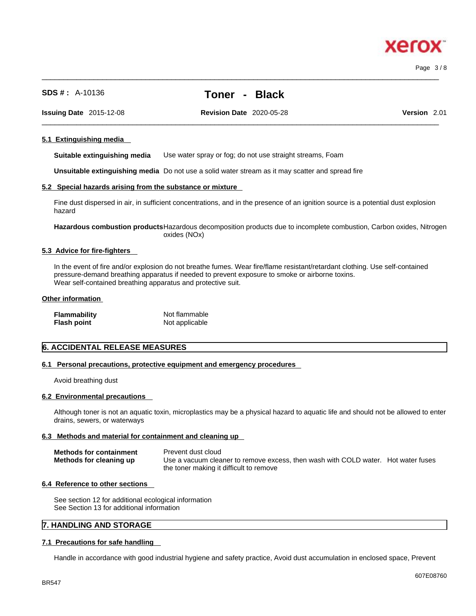# xero

Page 3 / 8

**SDS # :** A-10136 **Toner - Black**

**Issuing Date** 2015-12-08 **Revision Date** 2020-05-28 **Version** 2.01

 $\_$  ,  $\_$  ,  $\_$  ,  $\_$  ,  $\_$  ,  $\_$  ,  $\_$  ,  $\_$  ,  $\_$  ,  $\_$  ,  $\_$  ,  $\_$  ,  $\_$  ,  $\_$  ,  $\_$  ,  $\_$  ,  $\_$  ,  $\_$  ,  $\_$  ,  $\_$  ,  $\_$  ,  $\_$  ,  $\_$  ,  $\_$  ,  $\_$  ,  $\_$  ,  $\_$  ,  $\_$  ,  $\_$  ,  $\_$  ,  $\_$  ,  $\_$  ,  $\_$  ,  $\_$  ,  $\_$  ,  $\_$  ,  $\_$  ,

 $\_$  ,  $\_$  ,  $\_$  ,  $\_$  ,  $\_$  ,  $\_$  ,  $\_$  ,  $\_$  ,  $\_$  ,  $\_$  ,  $\_$  ,  $\_$  ,  $\_$  ,  $\_$  ,  $\_$  ,  $\_$  ,  $\_$  ,  $\_$  ,  $\_$  ,  $\_$  ,  $\_$  ,  $\_$  ,  $\_$  ,  $\_$  ,  $\_$  ,  $\_$  ,  $\_$  ,  $\_$  ,  $\_$  ,  $\_$  ,  $\_$  ,  $\_$  ,  $\_$  ,  $\_$  ,  $\_$  ,  $\_$  ,  $\_$  ,

#### **5.1 Extinguishing media**

**Suitable extinguishing media** Use water spray or fog; do not use straight streams, Foam

**Unsuitable extinguishing media** Do not use a solid water stream as it may scatterand spread fire

#### **5.2 Special hazards arising from the substance or mixture**

Fine dust dispersed in air, in sufficient concentrations, and in the presence of an ignition source is a potential dust explosion hazard

**Hazardous combustion products**Hazardous decomposition products due to incomplete combustion, Carbon oxides, Nitrogen oxides (NOx)

#### **5.3 Advice for fire-fighters**

In the event of fire and/or explosion do not breathe fumes. Wear fire/flame resistant/retardant clothing. Use self-contained pressure-demand breathing apparatus if needed to prevent exposure to smoke or airborne toxins. Wear self-contained breathing apparatus and protective suit.

#### **Other information**

| <b>Flammability</b> | Not flammable  |
|---------------------|----------------|
| <b>Flash point</b>  | Not applicable |

#### **6. ACCIDENTAL RELEASE MEASURES**

#### **6.1 Personal precautions, protective equipment and emergency procedures**

Avoid breathing dust

#### **6.2 Environmental precautions**

Although toner is not an aquatic toxin, microplastics may be a physical hazard to aquatic life and should not be allowed to enter drains, sewers, or waterways

#### **6.3 Methods and material for containment and cleaning up**

| <b>Methods for containment</b> | Prevent dust cloud                                                                |
|--------------------------------|-----------------------------------------------------------------------------------|
| Methods for cleaning up        | Use a vacuum cleaner to remove excess, then wash with COLD water. Hot water fuses |
|                                | the toner making it difficult to remove                                           |

#### **6.4 Reference to other sections**

See section 12 for additional ecological information See Section 13 for additional information

#### **7. HANDLING AND STORAGE**

#### **7.1 Precautions for safe handling**

Handle in accordance with good industrial hygiene and safety practice, Avoid dust accumulation in enclosed space, Prevent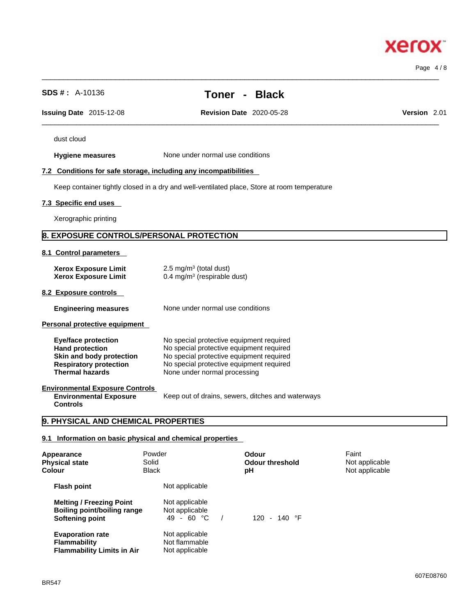## **Hygiene measures** None under normal use conditions **7.2 Conditions for safe storage, including any incompatibilities** Keep container tightly closed in a dry and well-ventilated place, Store at room temperature **7.3 Specific end uses**  Xerographic printing **8. EXPOSURE CONTROLS/PERSONAL PROTECTION 8.1 Control parameters Xerox Exposure Limit**  $2.5 \text{ mg/m}^3$  (total dust) **Xerox Exposure Limit** 0.4 mg/m<sup>3</sup> (respirable dust) **8.2 Exposure controls Engineering measures** None under normal use conditions **Personal protective equipment Eye/face protection** No special protective equipment required **Hand protection No special protective equipment required**<br>**Skin and body protection No special protective equipment required Skin and body protection** No special protective equipment required<br> **Respiratory protection** No special protective equipment required **Respiratory protection** No special protective equipment required<br> **Thermal hazards** None under normal processing **Thermal hazards** None under normal processing **Environmental Exposure Controls Environmental Exposure Controls**  Keep out of drains, sewers, ditches and waterways **9. PHYSICAL AND CHEMICAL PROPERTIES**

### **9.1 Information on basic physical and chemical properties**

| Appearance<br><b>Physical state</b><br>Colour                                            | Powder<br>Solid<br><b>Black</b>                   | Odour<br><b>Odour threshold</b><br>рH | Faint<br>Not applicable<br>Not applicable |
|------------------------------------------------------------------------------------------|---------------------------------------------------|---------------------------------------|-------------------------------------------|
| <b>Flash point</b>                                                                       | Not applicable                                    |                                       |                                           |
| <b>Melting / Freezing Point</b><br><b>Boiling point/boiling range</b><br>Softening point | Not applicable<br>Not applicable<br>49 - 60 °C    | $120 - 140$ °F                        |                                           |
| <b>Evaporation rate</b><br><b>Flammability</b><br><b>Flammability Limits in Air</b>      | Not applicable<br>Not flammable<br>Not applicable |                                       |                                           |

dust cloud

# **SDS # :** A-10136 **Toner - Black**

 $\_$  ,  $\_$  ,  $\_$  ,  $\_$  ,  $\_$  ,  $\_$  ,  $\_$  ,  $\_$  ,  $\_$  ,  $\_$  ,  $\_$  ,  $\_$  ,  $\_$  ,  $\_$  ,  $\_$  ,  $\_$  ,  $\_$  ,  $\_$  ,  $\_$  ,  $\_$  ,  $\_$  ,  $\_$  ,  $\_$  ,  $\_$  ,  $\_$  ,  $\_$  ,  $\_$  ,  $\_$  ,  $\_$  ,  $\_$  ,  $\_$  ,  $\_$  ,  $\_$  ,  $\_$  ,  $\_$  ,  $\_$  ,  $\_$  ,

 $\_$  ,  $\_$  ,  $\_$  ,  $\_$  ,  $\_$  ,  $\_$  ,  $\_$  ,  $\_$  ,  $\_$  ,  $\_$  ,  $\_$  ,  $\_$  ,  $\_$  ,  $\_$  ,  $\_$  ,  $\_$  ,  $\_$  ,  $\_$  ,  $\_$  ,  $\_$  ,  $\_$  ,  $\_$  ,  $\_$  ,  $\_$  ,  $\_$  ,  $\_$  ,  $\_$  ,  $\_$  ,  $\_$  ,  $\_$  ,  $\_$  ,  $\_$  ,  $\_$  ,  $\_$  ,  $\_$  ,  $\_$  ,  $\_$  ,

**Issuing Date** 2015-12-08 **Revision Date** 2020-05-28 **Version** 2.01

Page 4 / 8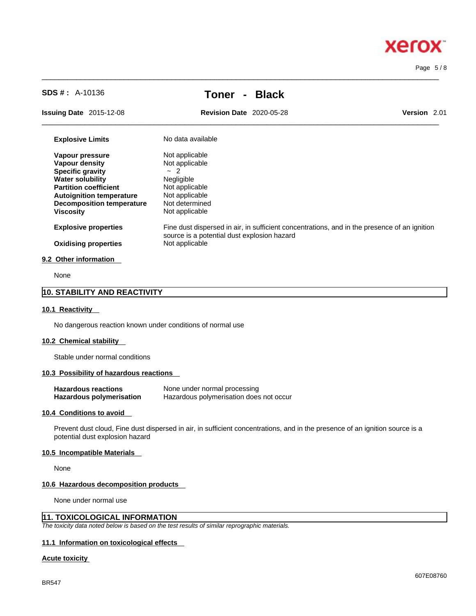# **Xerox**

Page 5 / 8

**SDS # :** A-10136 **Toner - Black**

 $\_$  ,  $\_$  ,  $\_$  ,  $\_$  ,  $\_$  ,  $\_$  ,  $\_$  ,  $\_$  ,  $\_$  ,  $\_$  ,  $\_$  ,  $\_$  ,  $\_$  ,  $\_$  ,  $\_$  ,  $\_$  ,  $\_$  ,  $\_$  ,  $\_$  ,  $\_$  ,  $\_$  ,  $\_$  ,  $\_$  ,  $\_$  ,  $\_$  ,  $\_$  ,  $\_$  ,  $\_$  ,  $\_$  ,  $\_$  ,  $\_$  ,  $\_$  ,  $\_$  ,  $\_$  ,  $\_$  ,  $\_$  ,  $\_$  ,

**Issuing Date** 2015-12-08 **Revision Date** 2020-05-28 **Version** 2.01

 $\_$  ,  $\_$  ,  $\_$  ,  $\_$  ,  $\_$  ,  $\_$  ,  $\_$  ,  $\_$  ,  $\_$  ,  $\_$  ,  $\_$  ,  $\_$  ,  $\_$  ,  $\_$  ,  $\_$  ,  $\_$  ,  $\_$  ,  $\_$  ,  $\_$  ,  $\_$  ,  $\_$  ,  $\_$  ,  $\_$  ,  $\_$  ,  $\_$  ,  $\_$  ,  $\_$  ,  $\_$  ,  $\_$  ,  $\_$  ,  $\_$  ,  $\_$  ,  $\_$  ,  $\_$  ,  $\_$  ,  $\_$  ,  $\_$  ,

| <b>Explosive Limits</b>          | No data available                                                                                                                           |
|----------------------------------|---------------------------------------------------------------------------------------------------------------------------------------------|
| Vapour pressure                  | Not applicable                                                                                                                              |
| Vapour density                   | Not applicable                                                                                                                              |
| <b>Specific gravity</b>          | $-2$                                                                                                                                        |
| <b>Water solubility</b>          | Negligible                                                                                                                                  |
| <b>Partition coefficient</b>     | Not applicable                                                                                                                              |
| <b>Autoignition temperature</b>  | Not applicable                                                                                                                              |
| <b>Decomposition temperature</b> | Not determined                                                                                                                              |
| <b>Viscosity</b>                 | Not applicable                                                                                                                              |
| <b>Explosive properties</b>      | Fine dust dispersed in air, in sufficient concentrations, and in the presence of an ignition<br>source is a potential dust explosion hazard |
| <b>Oxidising properties</b>      | Not applicable                                                                                                                              |
| 9.2 Other information            |                                                                                                                                             |
| N <sub>1</sub>                   |                                                                                                                                             |

None

#### **10. STABILITY AND REACTIVITY**

#### **10.1 Reactivity**

No dangerous reaction known under conditions of normal use

#### **10.2 Chemical stability**

Stable under normal conditions

#### **10.3 Possibility of hazardous reactions**

| <b>Hazardous reactions</b>      | None under normal processing            |
|---------------------------------|-----------------------------------------|
| <b>Hazardous polymerisation</b> | Hazardous polymerisation does not occur |

#### **10.4 Conditions to avoid**

Prevent dust cloud, Fine dust dispersed in air, in sufficient concentrations, and in the presence of an ignition source is a potential dust explosion hazard

#### **10.5 Incompatible Materials**

None

#### **10.6 Hazardous decomposition products**

None under normal use

#### **11. TOXICOLOGICAL INFORMATION**

*The toxicity data noted below is based on the test results of similar reprographic materials.* 

#### **11.1 Information on toxicological effects**

#### **Acute toxicity**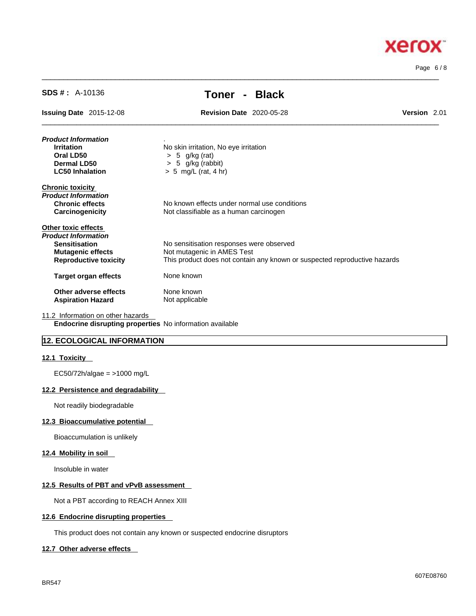

Page 6 / 8

| $SDS # : A-10136$                                        | Toner - Black                                                             |              |  |  |
|----------------------------------------------------------|---------------------------------------------------------------------------|--------------|--|--|
| <b>Issuing Date 2015-12-08</b>                           | <b>Revision Date 2020-05-28</b>                                           | Version 2.01 |  |  |
| Product Information                                      |                                                                           |              |  |  |
| <b>Irritation</b>                                        | No skin irritation, No eye irritation                                     |              |  |  |
| Oral LD50                                                | $> 5$ g/kg (rat)                                                          |              |  |  |
| Dermal LD50                                              | $> 5$ g/kg (rabbit)                                                       |              |  |  |
| <b>LC50 Inhalation</b>                                   | $> 5$ mg/L (rat, 4 hr)                                                    |              |  |  |
| <b>Chronic toxicity</b>                                  |                                                                           |              |  |  |
| Product Information                                      |                                                                           |              |  |  |
| <b>Chronic effects</b>                                   | No known effects under normal use conditions                              |              |  |  |
| Carcinogenicity                                          | Not classifiable as a human carcinogen                                    |              |  |  |
| <b>Other toxic effects</b>                               |                                                                           |              |  |  |
| Product Information                                      |                                                                           |              |  |  |
| <b>Sensitisation</b>                                     | No sensitisation responses were observed                                  |              |  |  |
| <b>Mutagenic effects</b>                                 | Not mutagenic in AMES Test                                                |              |  |  |
| <b>Reproductive toxicity</b>                             | This product does not contain any known or suspected reproductive hazards |              |  |  |
| <b>Target organ effects</b>                              | None known                                                                |              |  |  |
| Other adverse effects                                    | None known                                                                |              |  |  |
| <b>Aspiration Hazard</b>                                 | Not applicable                                                            |              |  |  |
| 11.2 Information on other hazards                        |                                                                           |              |  |  |
| Endocrine disrupting properties No information available |                                                                           |              |  |  |

 $\_$  ,  $\_$  ,  $\_$  ,  $\_$  ,  $\_$  ,  $\_$  ,  $\_$  ,  $\_$  ,  $\_$  ,  $\_$  ,  $\_$  ,  $\_$  ,  $\_$  ,  $\_$  ,  $\_$  ,  $\_$  ,  $\_$  ,  $\_$  ,  $\_$  ,  $\_$  ,  $\_$  ,  $\_$  ,  $\_$  ,  $\_$  ,  $\_$  ,  $\_$  ,  $\_$  ,  $\_$  ,  $\_$  ,  $\_$  ,  $\_$  ,  $\_$  ,  $\_$  ,  $\_$  ,  $\_$  ,  $\_$  ,  $\_$  ,

#### **12. ECOLOGICAL INFORMATION**

#### **12.1 Toxicity**

EC50/72h/algae = >1000 mg/L

#### **12.2 Persistence and degradability**

Not readily biodegradable

#### **12.3 Bioaccumulative potential**

Bioaccumulation is unlikely

#### **12.4 Mobility in soil**

Insoluble in water

#### **12.5 Results of PBT and vPvB assessment**

Not a PBT according to REACH Annex XIII

#### **12.6 Endocrine disrupting properties**

This product does not contain any known or suspected endocrine disruptors

#### **12.7 Other adverse effects**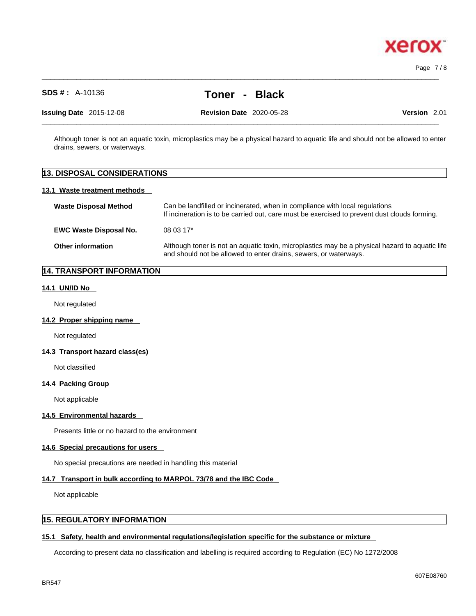# **SDS # :** A-10136 **Toner - Black**

 $\_$  ,  $\_$  ,  $\_$  ,  $\_$  ,  $\_$  ,  $\_$  ,  $\_$  ,  $\_$  ,  $\_$  ,  $\_$  ,  $\_$  ,  $\_$  ,  $\_$  ,  $\_$  ,  $\_$  ,  $\_$  ,  $\_$  ,  $\_$  ,  $\_$  ,  $\_$  ,  $\_$  ,  $\_$  ,  $\_$  ,  $\_$  ,  $\_$  ,  $\_$  ,  $\_$  ,  $\_$  ,  $\_$  ,  $\_$  ,  $\_$  ,  $\_$  ,  $\_$  ,  $\_$  ,  $\_$  ,  $\_$  ,  $\_$  ,

**Issuing Date** 2015-12-08 **Revision Date** 2020-05-28 **Version** 2.01

 $\_$  ,  $\_$  ,  $\_$  ,  $\_$  ,  $\_$  ,  $\_$  ,  $\_$  ,  $\_$  ,  $\_$  ,  $\_$  ,  $\_$  ,  $\_$  ,  $\_$  ,  $\_$  ,  $\_$  ,  $\_$  ,  $\_$  ,  $\_$  ,  $\_$  ,  $\_$  ,  $\_$  ,  $\_$  ,  $\_$  ,  $\_$  ,  $\_$  ,  $\_$  ,  $\_$  ,  $\_$  ,  $\_$  ,  $\_$  ,  $\_$  ,  $\_$  ,  $\_$  ,  $\_$  ,  $\_$  ,  $\_$  ,  $\_$  ,

Although toner is not an aquatic toxin, microplastics may be a physical hazard to aquatic life and should not be allowed to enter drains, sewers, or waterways.

# **13. DISPOSAL CONSIDERATIONS 13.1 Waste treatment methods Waste Disposal Method** Can be landfilled or incinerated, when in compliance with local regulations If incineration is to be carried out, care must be exercised to prevent dust clouds forming. **EWC Waste Disposal No.** 08 03 17\* **Other information** Although toner is not an aquatic toxin, microplastics may be a physical hazard to aquatic life and should not be allowed to enter drains, sewers, or waterways.

#### **14. TRANSPORT INFORMATION**

#### **14.1 UN/ID No**

Not regulated

#### **14.2 Proper shipping name**

Not regulated

#### **14.3 Transport hazard class(es)**

Not classified

#### **14.4 Packing Group**

Not applicable

#### **14.5 Environmental hazards**

Presents little or no hazard to the environment

#### **14.6 Special precautions for users**

No special precautions are needed in handling this material

#### **14.7 Transport in bulk according to MARPOL 73/78 and the IBC Code**

Not applicable

#### **15. REGULATORY INFORMATION**

#### **15.1 Safety, health and environmental regulations/legislation specific for the substance or mixture**

According to present data no classification and labelling is required according to Regulation (EC) No 1272/2008